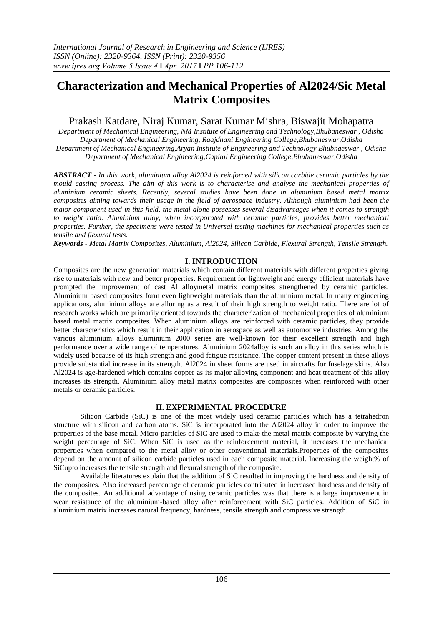# **Characterization and Mechanical Properties of Al2024/Sic Metal Matrix Composites**

# Prakash Katdare, Niraj Kumar, Sarat Kumar Mishra, Biswajit Mohapatra

*Department of Mechanical Engineering, NM Institute of Engineering and Technology,Bhubaneswar , Odisha Department of Mechanical Engineering, Raajdhani Engineering College,Bhubaneswar,Odisha Department of Mechanical Engineering,Aryan Institute of Engineering and Technology Bhubnaeswar , Odisha Department of Mechanical Engineering,Capital Engineering College,Bhubaneswar,Odisha*

*ABSTRACT - In this work, aluminium alloy Al2024 is reinforced with silicon carbide ceramic particles by the mould casting process. The aim of this work is to characterise and analyse the mechanical properties of aluminium ceramic sheets. Recently, several studies have been done in aluminium based metal matrix composites aiming towards their usage in the field of aerospace industry. Although aluminium had been the major component used in this field, the metal alone possesses several disadvantages when it comes to strength to weight ratio. Aluminium alloy, when incorporated with ceramic particles, provides better mechanical properties. Further, the specimens were tested in Universal testing machines for mechanical properties such as tensile and flexural tests.*

*Keywords - Metal Matrix Composites, Aluminium, Al2024, Silicon Carbide, Flexural Strength, Tensile Strength.*

# **I. INTRODUCTION**

Composites are the new generation materials which contain different materials with different properties giving rise to materials with new and better properties. Requirement for lightweight and energy efficient materials have prompted the improvement of cast Al alloymetal matrix composites strengthened by ceramic particles. Aluminium based composites form even lightweight materials than the aluminium metal. In many engineering applications, aluminium alloys are alluring as a result of their high strength to weight ratio. There are lot of research works which are primarily oriented towards the characterization of mechanical properties of aluminium based metal matrix composites. When aluminium alloys are reinforced with ceramic particles, they provide better characteristics which result in their application in aerospace as well as automotive industries. Among the various aluminium alloys aluminium 2000 series are well-known for their excellent strength and high performance over a wide range of temperatures. Aluminium 2024alloy is such an alloy in this series which is widely used because of its high strength and good fatigue resistance. The copper content present in these alloys provide substantial increase in its strength. Al2024 in sheet forms are used in aircrafts for fuselage skins. Also Al2024 is age-hardened which contains copper as its major alloying component and heat treatment of this alloy increases its strength. Aluminium alloy metal matrix composites are composites when reinforced with other metals or ceramic particles.

# **II. EXPERIMENTAL PROCEDURE**

Silicon Carbide (SiC) is one of the most widely used ceramic particles which has a tetrahedron structure with silicon and carbon atoms. SiC is incorporated into the Al2024 alloy in order to improve the properties of the base metal. Micro-particles of SiC are used to make the metal matrix composite by varying the weight percentage of SiC. When SiC is used as the reinforcement material, it increases the mechanical properties when compared to the metal alloy or other conventional materials.Properties of the composites depend on the amount of silicon carbide particles used in each composite material. Increasing the weight% of SiCupto increases the tensile strength and flexural strength of the composite.

Available literatures explain that the addition of SiC resulted in improving the hardness and density of the composites. Also increased percentage of ceramic particles contributed in increased hardness and density of the composites. An additional advantage of using ceramic particles was that there is a large improvement in wear resistance of the aluminium-based alloy after reinforcement with SiC particles. Addition of SiC in aluminium matrix increases natural frequency, hardness, tensile strength and compressive strength.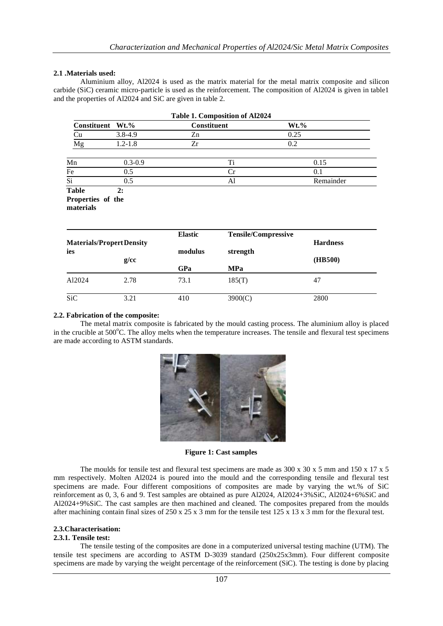#### **2.1 .Materials used:**

Aluminium alloy, Al2024 is used as the matrix material for the metal matrix composite and silicon carbide (SiC) ceramic micro-particle is used as the reinforcement. The composition of Al2024 is given in table1 and the properties of Al2024 and SiC are given in table 2.

| Table 1. Composition of Al2024          |             |                |                            |           |  |
|-----------------------------------------|-------------|----------------|----------------------------|-----------|--|
| Constituent                             | $Wt.\%$     | Constituent    |                            | $Wt.\%$   |  |
| Cu                                      | $3.8 - 4.9$ | Zn             |                            | 0.25      |  |
| Mg                                      | $1.2 - 1.8$ | Zr             |                            | 0.2       |  |
| Mn                                      | $0.3 - 0.9$ |                | Ti                         | 0.15      |  |
| Fe                                      | 0.5         |                | Cr                         | 0.1       |  |
| $\overline{Si}$                         | 0.5         |                | A1                         | Remainder |  |
|                                         |             | <b>Elastic</b> | <b>Tensile/Compressive</b> |           |  |
| <b>Materials/Propert Density</b><br>ies | modulus     | strength       | <b>Hardness</b>            |           |  |
|                                         | g/cc        |                |                            | (HB500)   |  |
|                                         |             | GPa            | <b>MPa</b>                 |           |  |
| Al2024                                  | 2.78        | 73.1           | 185(T)                     | 47        |  |
| <b>SiC</b>                              | 3.21        | 410            | 3900(C)                    | 2800      |  |

## **2.2. Fabrication of the composite:**

The metal matrix composite is fabricated by the mould casting process. The aluminium alloy is placed in the crucible at  $500^{\circ}$ C. The alloy melts when the temperature increases. The tensile and flexural test specimens are made according to ASTM standards.



**Figure 1: Cast samples**

The moulds for tensile test and flexural test specimens are made as  $300 \times 30 \times 5$  mm and  $150 \times 17 \times 5$ mm respectively. Molten Al2024 is poured into the mould and the corresponding tensile and flexural test specimens are made. Four different compositions of composites are made by varying the wt.% of SiC reinforcement as 0, 3, 6 and 9. Test samples are obtained as pure Al2024, Al2024+3%SiC, Al2024+6%SiC and Al2024+9%SiC. The cast samples are then machined and cleaned. The composites prepared from the moulds after machining contain final sizes of  $250 \times 25 \times 3$  mm for the tensile test  $125 \times 13 \times 3$  mm for the flexural test.

#### **2.3.Characterisation:**

#### **2.3.1. Tensile test:**

The tensile testing of the composites are done in a computerized universal testing machine (UTM). The tensile test specimens are according to ASTM D-3039 standard (250x25x3mm). Four different composite specimens are made by varying the weight percentage of the reinforcement (SiC). The testing is done by placing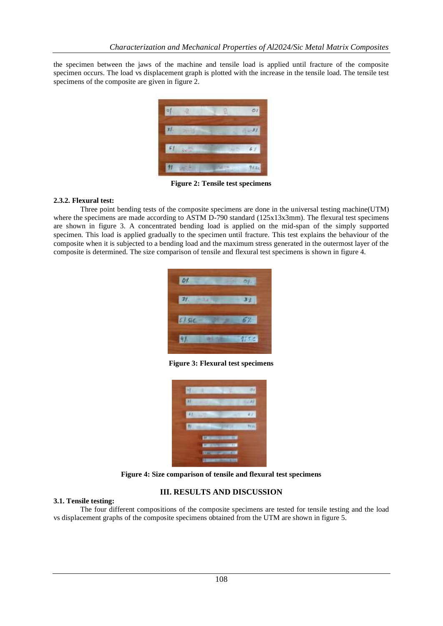the specimen between the jaws of the machine and tensile load is applied until fracture of the composite specimen occurs. The load vs displacement graph is plotted with the increase in the tensile load. The tensile test specimens of the composite are given in figure 2.



**Figure 2: Tensile test specimens**

## **2.3.2. Flexural test:**

Three point bending tests of the composite specimens are done in the universal testing machine(UTM) where the specimens are made according to ASTM D-790 standard (125x13x3mm). The flexural test specimens are shown in figure 3. A concentrated bending load is applied on the mid-span of the simply supported specimen. This load is applied gradually to the specimen until fracture. This test explains the behaviour of the composite when it is subjected to a bending load and the maximum stress generated in the outermost layer of the composite is determined. The size comparison of tensile and flexural test specimens is shown in figure 4.

|                     | 01.  |
|---------------------|------|
| $31 - 31$           | 37   |
| $C1.51C -$<br>an an | 57.  |
| 4.14<br>M.          | 975C |

**Figure 3: Flexural test specimens**

| H           |                               | É                 | 31          |
|-------------|-------------------------------|-------------------|-------------|
|             |                               |                   |             |
| 61<br>is Co |                               | ÷                 |             |
|             |                               | <b>CONTRACTOR</b> | <b>PERS</b> |
|             | <b><i>Designation</i></b>     | ٠                 |             |
|             | <b>STATISTICS</b>             | ÷                 |             |
|             | <b>Change of the Contract</b> | m<br>×            |             |

**Figure 4: Size comparison of tensile and flexural test specimens**

# **III. RESULTS AND DISCUSSION**

### **3.1. Tensile testing:**

The four different compositions of the composite specimens are tested for tensile testing and the load vs displacement graphs of the composite specimens obtained from the UTM are shown in figure 5.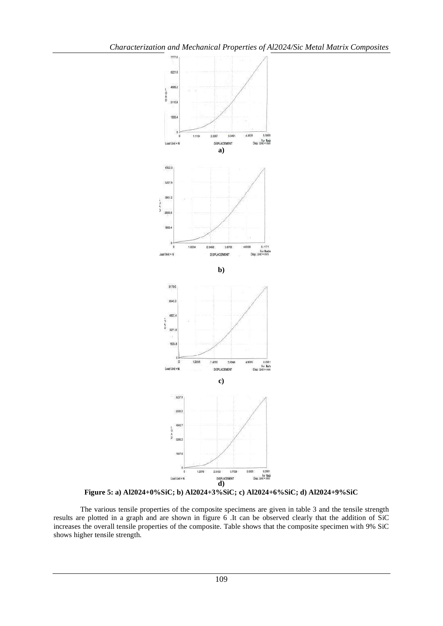

**Figure 5: a) Al2024+0%SiC; b) Al2024+3%SiC; c) Al2024+6%SiC; d) Al2024+9%SiC**

The various tensile properties of the composite specimens are given in table 3 and the tensile strength results are plotted in a graph and are shown in figure 6 .It can be observed clearly that the addition of SiC increases the overall tensile properties of the composite. Table shows that the composite specimen with 9% SiC shows higher tensile strength.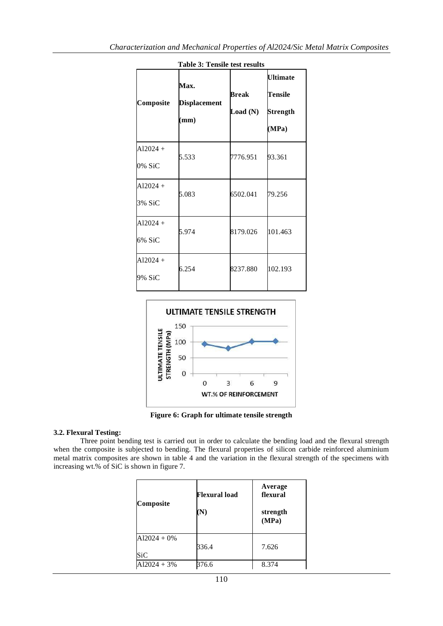| Composite            | <b>Max.</b><br><b>Displacement</b><br>$(\mathbf{mm})$ | Break<br>Load (N) | <b>Ultimate</b><br>Tensile<br>Strength<br>(MPa) |
|----------------------|-------------------------------------------------------|-------------------|-------------------------------------------------|
| $Al2024 +$<br>0% SiC | 5.533                                                 | 7776.951          | 93.361                                          |
| $A12024 +$<br>3% SiC | 5.083                                                 | 6502.041          | 79.256                                          |
| $Al2024 +$<br>6% SiC | 5.974                                                 | 8179.026          | 101.463                                         |
| $Al2024 +$<br>9% SiC | 6.254                                                 | 8237.880          | 102.193                                         |





**Figure 6: Graph for ultimate tensile strength**

### **3.2. Flexural Testing:**

Three point bending test is carried out in order to calculate the bending load and the flexural strength when the composite is subjected to bending. The flexural properties of silicon carbide reinforced aluminium metal matrix composites are shown in table 4 and the variation in the flexural strength of the specimens with increasing wt.% of SiC is shown in figure 7.

| Composite            | Flexural load<br>(N) | Average<br>flexural<br>strength<br>(MPa) |
|----------------------|----------------------|------------------------------------------|
| $A12024 + 0%$<br>SiC | 336.4                | 7.626                                    |
| $A12024 + 3%$        | 376.6                | 8.374                                    |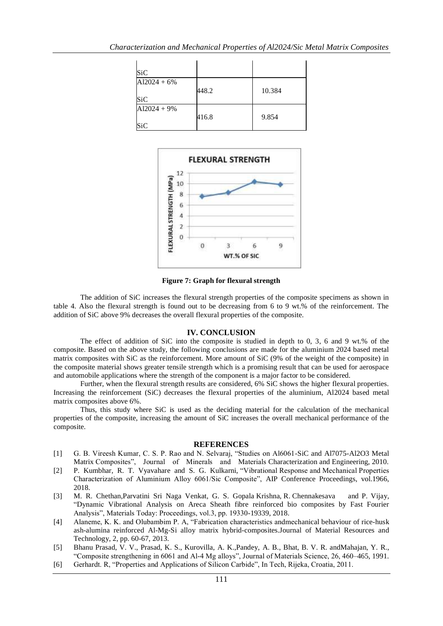| SiC                  |       |        |
|----------------------|-------|--------|
| $A12024 + 6%$<br>SiC | 448.2 | 10.384 |
| $A12024 + 9%$<br>SiC | 416.8 | 9.854  |



**Figure 7: Graph for flexural strength**

The addition of SiC increases the flexural strength properties of the composite specimens as shown in table 4. Also the flexural strength is found out to be decreasing from 6 to 9 wt.% of the reinforcement. The addition of SiC above 9% decreases the overall flexural properties of the composite.

#### **IV. CONCLUSION**

The effect of addition of SiC into the composite is studied in depth to 0, 3, 6 and 9 wt.% of the composite. Based on the above study, the following conclusions are made for the aluminium 2024 based metal matrix composites with SiC as the reinforcement. More amount of SiC (9% of the weight of the composite) in the composite material shows greater tensile strength which is a promising result that can be used for aerospace and automobile applications where the strength of the component is a major factor to be considered.

Further, when the flexural strength results are considered, 6% SiC shows the higher flexural properties. Increasing the reinforcement (SiC) decreases the flexural properties of the aluminium, Al2024 based metal matrix composites above 6%.

Thus, this study where SiC is used as the deciding material for the calculation of the mechanical properties of the composite, increasing the amount of SiC increases the overall mechanical performance of the composite.

#### **REFERENCES**

- [1] G. B. Vireesh Kumar, C. S. P. Rao and N. Selvaraj, "Studies on Al6061-SiC and Al7075-Al2O3 Metal Matrix Composites", Journal of Minerals and Materials Characterization and Engineering, 2010.
- [2] P. Kumbhar, R. T. Vyavahare and S. G. Kulkarni, "Vibrational Response and Mechanical Properties Characterization of Aluminium Alloy 6061/Sic Composite", AIP Conference Proceedings, vol.1966, 2018.
- [3] M. R. Chethan,Parvatini Sri Naga Venkat, G. S. Gopala Krishna, R. Chennakesava and P. Vijay, "Dynamic Vibrational Analysis on Areca Sheath fibre reinforced bio composites by Fast Fourier Analysis", Materials Today: Proceedings, vol.3, pp. 19330-19339, 2018.
- [4] Alaneme, K. K. and Olubambim P. A, "Fabrication characteristics andmechanical behaviour of rice-husk ash-alumina reinforced Al-Mg-Si alloy matrix hybrid-composites.Journal of Material Resources and Technology, 2, pp. 60-67, 2013.
- [5] Bhanu Prasad, V. V., Prasad, K. S., Kurovilla, A. K.,Pandey, A. B., Bhat, B. V. R. andMahajan, Y. R., "Composite strengthening in 6061 and Al-4 Mg alloys", Journal of Materials Science, 26, 460–465, 1991.
- [6] Gerhardt. R, "Properties and Applications of Silicon Carbide", In Tech, Rijeka, Croatia, 2011.